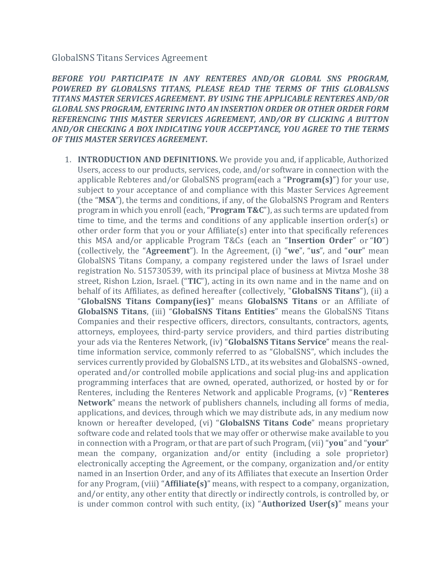## GlobalSNS Titans Services Agreement

*BEFORE YOU PARTICIPATE IN ANY RENTERES AND/OR GLOBAL SNS PROGRAM, POWERED BY GLOBALSNS TITANS, PLEASE READ THE TERMS OF THIS GLOBALSNS TITANS MASTER SERVICES AGREEMENT. BY USING THE APPLICABLE RENTERES AND/OR GLOBAL SNS PROGRAM, ENTERING INTO AN INSERTION ORDER OR OTHER ORDER FORM REFERENCING THIS MASTER SERVICES AGREEMENT, AND/OR BY CLICKING A BUTTON AND/OR CHECKING A BOX INDICATING YOUR ACCEPTANCE, YOU AGREE TO THE TERMS OF THIS MASTER SERVICES AGREEMENT.*

1. **INTRODUCTION AND DEFINITIONS.** We provide you and, if applicable, Authorized Users, access to our products, services, code, and/or software in connection with the applicable Rebteres and/or GlobalSNS program(each a "**Program(s)**") for your use, subject to your acceptance of and compliance with this Master Services Agreement (the "**MSA**"), the terms and conditions, if any, of the GlobalSNS Program and Renters program in which you enroll (each, "**Program T&C**"), as such terms are updated from time to time, and the terms and conditions of any applicable insertion order(s) or other order form that you or your Affiliate(s) enter into that specifically references this MSA and/or applicable Program T&Cs (each an "**Insertion Order**" or "**IO**") (collectively, the "**Agreement**"). In the Agreement, (i) "**we**", "**us**", and "**our**" mean GlobalSNS Titans Company, a company registered under the laws of Israel under registration No. 515730539, with its principal place of business at Mivtza Moshe 38 street, Rishon Lzion, Israel. ("**TIC**"), acting in its own name and in the name and on behalf of its Affiliates, as defined hereafter (collectively, "**GlobalSNS Titans**"), (ii) a "**GlobalSNS Titans Company(ies)**" means **GlobalSNS Titans** or an Affiliate of **GlobalSNS Titans**, (iii) "**GlobalSNS Titans Entities**" means the GlobalSNS Titans Companies and their respective officers, directors, consultants, contractors, agents, attorneys, employees, third-party service providers, and third parties distributing your ads via the Renteres Network, (iv) "**GlobalSNS Titans Service**" means the realtime information service, commonly referred to as "GlobalSNS", which includes the services currently provided by GlobalSNS LTD., at its websites and GlobalSNS -owned, operated and/or controlled mobile applications and social plug-ins and application programming interfaces that are owned, operated, authorized, or hosted by or for Renteres, including the Renteres Network and applicable Programs, (v) "**Renteres Network**" means the network of publishers channels, including all forms of media, applications, and devices, through which we may distribute ads, in any medium now known or hereafter developed, (vi) "**GlobalSNS Titans Code**" means proprietary software code and related tools that we may offer or otherwise make available to you in connection with a Program, or that are part of such Program, (vii) "**you**" and "**your**" mean the company, organization and/or entity (including a sole proprietor) electronically accepting the Agreement, or the company, organization and/or entity named in an Insertion Order, and any of its Affiliates that execute an Insertion Order for any Program, (viii) "**Affiliate(s)**" means, with respect to a company, organization, and/or entity, any other entity that directly or indirectly controls, is controlled by, or is under common control with such entity, (ix) "**Authorized User(s)**" means your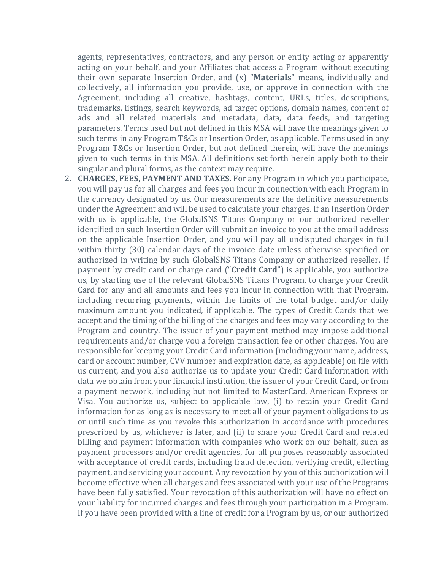agents, representatives, contractors, and any person or entity acting or apparently acting on your behalf, and your Affiliates that access a Program without executing their own separate Insertion Order, and (x) "**Materials**" means, individually and collectively, all information you provide, use, or approve in connection with the Agreement, including all creative, hashtags, content, URLs, titles, descriptions, trademarks, listings, search keywords, ad target options, domain names, content of ads and all related materials and metadata, data, data feeds, and targeting parameters. Terms used but not defined in this MSA will have the meanings given to such terms in any Program T&Cs or Insertion Order, as applicable. Terms used in any Program T&Cs or Insertion Order, but not defined therein, will have the meanings given to such terms in this MSA. All definitions set forth herein apply both to their singular and plural forms, as the context may require.

2. **CHARGES, FEES, PAYMENT AND TAXES.** For any Program in which you participate, you will pay us for all charges and fees you incur in connection with each Program in the currency designated by us. Our measurements are the definitive measurements under the Agreement and will be used to calculate your charges. If an Insertion Order with us is applicable, the GlobalSNS Titans Company or our authorized reseller identified on such Insertion Order will submit an invoice to you at the email address on the applicable Insertion Order, and you will pay all undisputed charges in full within thirty (30) calendar days of the invoice date unless otherwise specified or authorized in writing by such GlobalSNS Titans Company or authorized reseller. If payment by credit card or charge card ("**Credit Card**") is applicable, you authorize us, by starting use of the relevant GlobalSNS Titans Program, to charge your Credit Card for any and all amounts and fees you incur in connection with that Program, including recurring payments, within the limits of the total budget and/or daily maximum amount you indicated, if applicable. The types of Credit Cards that we accept and the timing of the billing of the charges and fees may vary according to the Program and country. The issuer of your payment method may impose additional requirements and/or charge you a foreign transaction fee or other charges. You are responsible for keeping your Credit Card information (including your name, address, card or account number, CVV number and expiration date, as applicable) on file with us current, and you also authorize us to update your Credit Card information with data we obtain from your financial institution, the issuer of your Credit Card, or from a payment network, including but not limited to MasterCard, American Express or Visa. You authorize us, subject to applicable law, (i) to retain your Credit Card information for as long as is necessary to meet all of your payment obligations to us or until such time as you revoke this authorization in accordance with procedures prescribed by us, whichever is later, and (ii) to share your Credit Card and related billing and payment information with companies who work on our behalf, such as payment processors and/or credit agencies, for all purposes reasonably associated with acceptance of credit cards, including fraud detection, verifying credit, effecting payment, and servicing your account. Any revocation by you of this authorization will become effective when all charges and fees associated with your use of the Programs have been fully satisfied. Your revocation of this authorization will have no effect on your liability for incurred charges and fees through your participation in a Program. If you have been provided with a line of credit for a Program by us, or our authorized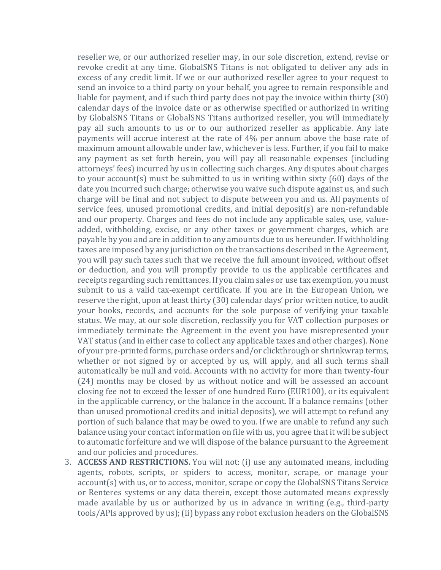reseller we, or our authorized reseller may, in our sole discretion, extend, revise or revoke credit at any time. GlobalSNS Titans is not obligated to deliver any ads in excess of any credit limit. If we or our authorized reseller agree to your request to send an invoice to a third party on your behalf, you agree to remain responsible and liable for payment, and if such third party does not pay the invoice within thirty (30) calendar days of the invoice date or as otherwise specified or authorized in writing by GlobalSNS Titans or GlobalSNS Titans authorized reseller, you will immediately pay all such amounts to us or to our authorized reseller as applicable. Any late payments will accrue interest at the rate of 4% per annum above the base rate of maximum amount allowable under law, whichever is less. Further, if you fail to make any payment as set forth herein, you will pay all reasonable expenses (including attorneys' fees) incurred by us in collecting such charges. Any disputes about charges to your account(s) must be submitted to us in writing within sixty (60) days of the date you incurred such charge; otherwise you waive such dispute against us, and such charge will be final and not subject to dispute between you and us. All payments of service fees, unused promotional credits, and initial deposit(s) are non-refundable and our property. Charges and fees do not include any applicable sales, use, valueadded, withholding, excise, or any other taxes or government charges, which are payable by you and are in addition to any amounts due to us hereunder. If withholding taxes are imposed by any jurisdiction on the transactions described in the Agreement, you will pay such taxes such that we receive the full amount invoiced, without offset or deduction, and you will promptly provide to us the applicable certificates and receipts regarding such remittances. If you claim sales or use tax exemption, you must submit to us a valid tax-exempt certificate. If you are in the European Union, we reserve the right, upon at least thirty (30) calendar days' prior written notice, to audit your books, records, and accounts for the sole purpose of verifying your taxable status. We may, at our sole discretion, reclassify you for VAT collection purposes or immediately terminate the Agreement in the event you have misrepresented your VAT status (and in either case to collect any applicable taxes and other charges). None of your pre-printed forms, purchase orders and/or clickthrough or shrinkwrap terms, whether or not signed by or accepted by us, will apply, and all such terms shall automatically be null and void. Accounts with no activity for more than twenty-four (24) months may be closed by us without notice and will be assessed an account closing fee not to exceed the lesser of one hundred Euro (EUR100), or its equivalent in the applicable currency, or the balance in the account. If a balance remains (other than unused promotional credits and initial deposits), we will attempt to refund any portion of such balance that may be owed to you. If we are unable to refund any such balance using your contact information on file with us, you agree that it will be subject to automatic forfeiture and we will dispose of the balance pursuant to the Agreement and our policies and procedures.

3. **ACCESS AND RESTRICTIONS.** You will not: (i) use any automated means, including agents, robots, scripts, or spiders to access, monitor, scrape, or manage your account(s) with us, or to access, monitor, scrape or copy the GlobalSNS Titans Service or Renteres systems or any data therein, except those automated means expressly made available by us or authorized by us in advance in writing (e.g., third-party tools/APIs approved by us); (ii) bypass any robot exclusion headers on the GlobalSNS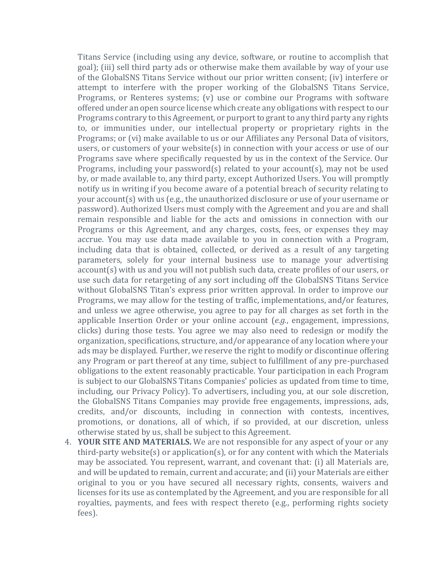Titans Service (including using any device, software, or routine to accomplish that goal); (iii) sell third party ads or otherwise make them available by way of your use of the GlobalSNS Titans Service without our prior written consent; (iv) interfere or attempt to interfere with the proper working of the GlobalSNS Titans Service, Programs, or Renteres systems; (v) use or combine our Programs with software offered under an open source license which create any obligations with respect to our Programs contrary to this Agreement, or purport to grant to any third party any rights to, or immunities under, our intellectual property or proprietary rights in the Programs; or (vi) make available to us or our Affiliates any Personal Data of visitors, users, or customers of your website(s) in connection with your access or use of our Programs save where specifically requested by us in the context of the Service. Our Programs, including your password(s) related to your account(s), may not be used by, or made available to, any third party, except Authorized Users. You will promptly notify us in writing if you become aware of a potential breach of security relating to your account(s) with us (e.g., the unauthorized disclosure or use of your username or password). Authorized Users must comply with the Agreement and you are and shall remain responsible and liable for the acts and omissions in connection with our Programs or this Agreement, and any charges, costs, fees, or expenses they may accrue. You may use data made available to you in connection with a Program, including data that is obtained, collected, or derived as a result of any targeting parameters, solely for your internal business use to manage your advertising account(s) with us and you will not publish such data, create profiles of our users, or use such data for retargeting of any sort including off the GlobalSNS Titans Service without GlobalSNS Titan's express prior written approval. In order to improve our Programs, we may allow for the testing of traffic, implementations, and/or features, and unless we agree otherwise, you agree to pay for all charges as set forth in the applicable Insertion Order or your online account (*e.g.*, engagement, impressions, clicks) during those tests. You agree we may also need to redesign or modify the organization, specifications, structure, and/or appearance of any location where your ads may be displayed. Further, we reserve the right to modify or discontinue offering any Program or part thereof at any time, subject to fulfillment of any pre-purchased obligations to the extent reasonably practicable. Your participation in each Program is subject to our GlobalSNS Titans Companies' policies as updated from time to time, including, our Privacy Policy). To advertisers, including you, at our sole discretion, the GlobalSNS Titans Companies may provide free engagements, impressions, ads, credits, and/or discounts, including in connection with contests, incentives, promotions, or donations, all of which, if so provided, at our discretion, unless otherwise stated by us, shall be subject to this Agreement.

4. **YOUR SITE AND MATERIALS.** We are not responsible for any aspect of your or any third-party website(s) or application(s), or for any content with which the Materials may be associated. You represent, warrant, and covenant that: (i) all Materials are, and will be updated to remain, current and accurate; and (ii) your Materials are either original to you or you have secured all necessary rights, consents, waivers and licenses for its use as contemplated by the Agreement, and you are responsible for all royalties, payments, and fees with respect thereto (e.g., performing rights society fees).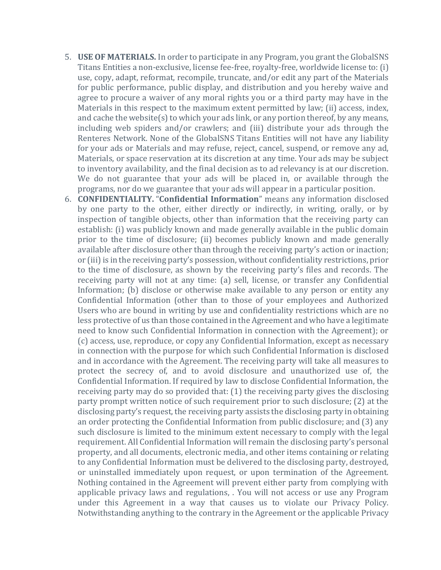- 5. **USE OF MATERIALS.** In order to participate in any Program, you grant the GlobalSNS Titans Entities a non-exclusive, license fee-free, royalty-free, worldwide license to: (i) use, copy, adapt, reformat, recompile, truncate, and/or edit any part of the Materials for public performance, public display, and distribution and you hereby waive and agree to procure a waiver of any moral rights you or a third party may have in the Materials in this respect to the maximum extent permitted by law; (ii) access, index, and cache the website(s) to which your ads link, or any portion thereof, by any means, including web spiders and/or crawlers; and (iii) distribute your ads through the Renteres Network. None of the GlobalSNS Titans Entities will not have any liability for your ads or Materials and may refuse, reject, cancel, suspend, or remove any ad, Materials, or space reservation at its discretion at any time. Your ads may be subject to inventory availability, and the final decision as to ad relevancy is at our discretion. We do not guarantee that your ads will be placed in, or available through the programs, nor do we guarantee that your ads will appear in a particular position.
- 6. **CONFIDENTIALITY.** "**Confidential Information**" means any information disclosed by one party to the other, either directly or indirectly, in writing, orally, or by inspection of tangible objects, other than information that the receiving party can establish: (i) was publicly known and made generally available in the public domain prior to the time of disclosure; (ii) becomes publicly known and made generally available after disclosure other than through the receiving party's action or inaction; or (iii) is in the receiving party's possession, without confidentiality restrictions, prior to the time of disclosure, as shown by the receiving party's files and records. The receiving party will not at any time: (a) sell, license, or transfer any Confidential Information; (b) disclose or otherwise make available to any person or entity any Confidential Information (other than to those of your employees and Authorized Users who are bound in writing by use and confidentiality restrictions which are no less protective of us than those contained in the Agreement and who have a legitimate need to know such Confidential Information in connection with the Agreement); or (c) access, use, reproduce, or copy any Confidential Information, except as necessary in connection with the purpose for which such Confidential Information is disclosed and in accordance with the Agreement. The receiving party will take all measures to protect the secrecy of, and to avoid disclosure and unauthorized use of, the Confidential Information. If required by law to disclose Confidential Information, the receiving party may do so provided that: (1) the receiving party gives the disclosing party prompt written notice of such requirement prior to such disclosure; (2) at the disclosing party's request, the receiving party assists the disclosing party in obtaining an order protecting the Confidential Information from public disclosure; and (3) any such disclosure is limited to the minimum extent necessary to comply with the legal requirement. All Confidential Information will remain the disclosing party's personal property, and all documents, electronic media, and other items containing or relating to any Confidential Information must be delivered to the disclosing party, destroyed, or uninstalled immediately upon request, or upon termination of the Agreement. Nothing contained in the Agreement will prevent either party from complying with applicable privacy laws and regulations, . You will not access or use any Program under this Agreement in a way that causes us to violate our Privacy Policy. Notwithstanding anything to the contrary in the Agreement or the applicable Privacy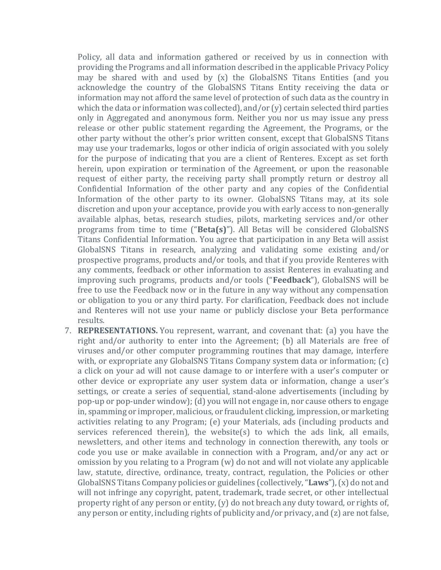Policy, all data and information gathered or received by us in connection with providing the Programs and all information described in the applicable Privacy Policy may be shared with and used by (x) the GlobalSNS Titans Entities (and you acknowledge the country of the GlobalSNS Titans Entity receiving the data or information may not afford the same level of protection of such data as the country in which the data or information was collected), and/or (y) certain selected third parties only in Aggregated and anonymous form. Neither you nor us may issue any press release or other public statement regarding the Agreement, the Programs, or the other party without the other's prior written consent, except that GlobalSNS Titans may use your trademarks, logos or other indicia of origin associated with you solely for the purpose of indicating that you are a client of Renteres. Except as set forth herein, upon expiration or termination of the Agreement, or upon the reasonable request of either party, the receiving party shall promptly return or destroy all Confidential Information of the other party and any copies of the Confidential Information of the other party to its owner. GlobalSNS Titans may, at its sole discretion and upon your acceptance, provide you with early access to non-generally available alphas, betas, research studies, pilots, marketing services and/or other programs from time to time ("**Beta(s)**"). All Betas will be considered GlobalSNS Titans Confidential Information. You agree that participation in any Beta will assist GlobalSNS Titans in research, analyzing and validating some existing and/or prospective programs, products and/or tools, and that if you provide Renteres with any comments, feedback or other information to assist Renteres in evaluating and improving such programs, products and/or tools ("**Feedback**"), GlobalSNS will be free to use the Feedback now or in the future in any way without any compensation or obligation to you or any third party. For clarification, Feedback does not include and Renteres will not use your name or publicly disclose your Beta performance results.

7. **REPRESENTATIONS.** You represent, warrant, and covenant that: (a) you have the right and/or authority to enter into the Agreement; (b) all Materials are free of viruses and/or other computer programming routines that may damage, interfere with, or expropriate any GlobalSNS Titans Company system data or information; (c) a click on your ad will not cause damage to or interfere with a user's computer or other device or expropriate any user system data or information, change a user's settings, or create a series of sequential, stand-alone advertisements (including by pop-up or pop-under window); (d) you will not engage in, nor cause others to engage in, spamming or improper, malicious, or fraudulent clicking, impression, or marketing activities relating to any Program; (e) your Materials, ads (including products and services referenced therein), the website(s) to which the ads link, all emails, newsletters, and other items and technology in connection therewith, any tools or code you use or make available in connection with a Program, and/or any act or omission by you relating to a Program (w) do not and will not violate any applicable law, statute, directive, ordinance, treaty, contract, regulation, the Policies or other GlobalSNS Titans Company policies or guidelines (collectively,"**Laws**"),(x) do not and will not infringe any copyright, patent, trademark, trade secret, or other intellectual property right of any person or entity, (y) do not breach any duty toward, or rights of, any person or entity, including rights of publicity and/or privacy, and (z) are not false,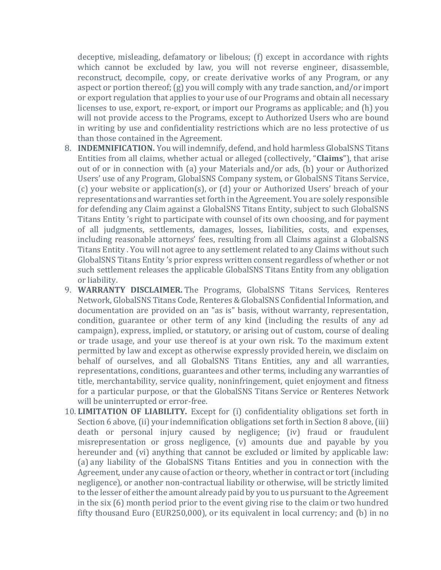deceptive, misleading, defamatory or libelous; (f) except in accordance with rights which cannot be excluded by law, you will not reverse engineer, disassemble, reconstruct, decompile, copy, or create derivative works of any Program, or any aspect or portion thereof; (g) you will comply with any trade sanction, and/or import or export regulation that applies to your use of our Programs and obtain all necessary licenses to use, export, re-export, or import our Programs as applicable; and (h) you will not provide access to the Programs, except to Authorized Users who are bound in writing by use and confidentiality restrictions which are no less protective of us than those contained in the Agreement.

- 8. **INDEMNIFICATION.** You will indemnify, defend, and hold harmless GlobalSNS Titans Entities from all claims, whether actual or alleged (collectively, "**Claims**"), that arise out of or in connection with (a) your Materials and/or ads, (b) your or Authorized Users' use of any Program, GlobalSNS Company system, or GlobalSNS Titans Service, (c) your website or application(s), or (d) your or Authorized Users' breach of your representations and warranties set forth in the Agreement. You are solely responsible for defending any Claim against a GlobalSNS Titans Entity, subject to such GlobalSNS Titans Entity 's right to participate with counsel of its own choosing, and for payment of all judgments, settlements, damages, losses, liabilities, costs, and expenses, including reasonable attorneys' fees, resulting from all Claims against a GlobalSNS Titans Entity . You will not agree to any settlement related to any Claims without such GlobalSNS Titans Entity 's prior express written consent regardless of whether or not such settlement releases the applicable GlobalSNS Titans Entity from any obligation or liability.
- 9. **WARRANTY DISCLAIMER.** The Programs, GlobalSNS Titans Services, Renteres Network, GlobalSNS Titans Code, Renteres & GlobalSNS Confidential Information, and documentation are provided on an "as is" basis, without warranty, representation, condition, guarantee or other term of any kind (including the results of any ad campaign), express, implied, or statutory, or arising out of custom, course of dealing or trade usage, and your use thereof is at your own risk. To the maximum extent permitted by law and except as otherwise expressly provided herein, we disclaim on behalf of ourselves, and all GlobalSNS Titans Entities, any and all warranties, representations, conditions, guarantees and other terms, including any warranties of title, merchantability, service quality, noninfringement, quiet enjoyment and fitness for a particular purpose, or that the GlobalSNS Titans Service or Renteres Network will be uninterrupted or error-free.
- 10. **LIMITATION OF LIABILITY.** Except for (i) confidentiality obligations set forth in Section 6 above, (ii) your indemnification obligations set forth in Section 8 above, (iii) death or personal injury caused by negligence; (iv) fraud or fraudulent misrepresentation or gross negligence, (v) amounts due and payable by you hereunder and (vi) anything that cannot be excluded or limited by applicable law: (a) any liability of the GlobalSNS Titans Entities and you in connection with the Agreement, under any cause of action or theory, whether in contract or tort (including negligence), or another non-contractual liability or otherwise, will be strictly limited to the lesser of either the amount already paid by you to us pursuant to the Agreement in the six (6) month period prior to the event giving rise to the claim or two hundred fifty thousand Euro (EUR250,000), or its equivalent in local currency; and (b) in no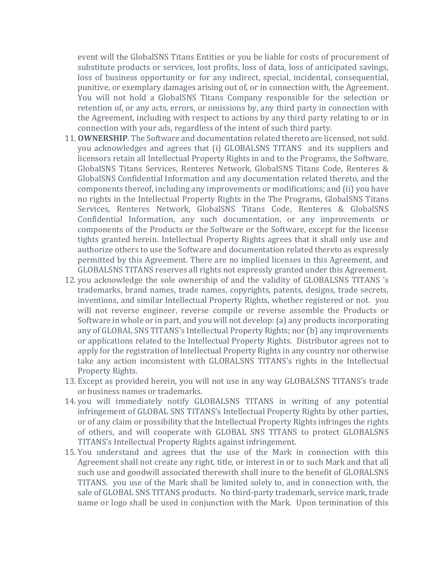event will the GlobalSNS Titans Entities or you be liable for costs of procurement of substitute products or services, lost profits, loss of data, loss of anticipated savings, loss of business opportunity or for any indirect, special, incidental, consequential, punitive, or exemplary damages arising out of, or in connection with, the Agreement. You will not hold a GlobalSNS Titans Company responsible for the selection or retention of, or any acts, errors, or omissions by, any third party in connection with the Agreement, including with respect to actions by any third party relating to or in connection with your ads, regardless of the intent of such third party.

- 11. **OWNERSHIP**. The Software and documentation related thereto are licensed, not sold. you acknowledges and agrees that (i) GLOBALSNS TITANS and its suppliers and licensors retain all Intellectual Property Rights in and to the Programs, the Software, GlobalSNS Titans Services, Renteres Network, GlobalSNS Titans Code, Renteres & GlobalSNS Confidential Information and any documentation related thereto, and the components thereof, including any improvements or modifications; and (ii) you have no rights in the Intellectual Property Rights in the The Programs, GlobalSNS Titans Services, Renteres Network, GlobalSNS Titans Code, Renteres & GlobalSNS Confidential Information, any such documentation, or any improvements or components of the Products or the Software or the Software, except for the license tights granted herein. Intellectual Property Rights agrees that it shall only use and authorize others to use the Software and documentation related thereto as expressly permitted by this Agreement. There are no implied licenses in this Agreement, and GLOBALSNS TITANS reserves all rights not expressly granted under this Agreement.
- 12. you acknowledge the sole ownership of and the validity of GLOBALSNS TITANS 's trademarks, brand names, trade names, copyrights, patents, designs, trade secrets, inventions, and similar Intellectual Property Rights, whether registered or not. you will not reverse engineer, reverse compile or reverse assemble the Products or Software in whole or in part, and you will not develop: (a) any products incorporating any of GLOBAL SNS TITANS's Intellectual Property Rights; nor (b) any improvements or applications related to the Intellectual Property Rights. Distributor agrees not to apply for the registration of Intellectual Property Rights in any country nor otherwise take any action inconsistent with GLOBALSNS TITANS's rights in the Intellectual Property Rights.
- 13. Except as provided herein, you will not use in any way GLOBALSNS TITANS's trade or business names or trademarks.
- 14. you will immediately notify GLOBALSNS TITANS in writing of any potential infringement of GLOBAL SNS TITANS's Intellectual Property Rights by other parties, or of any claim or possibility that the Intellectual Property Rights infringes the rights of others, and will cooperate with GLOBAL SNS TITANS to protect GLOBALSNS TITANS's Intellectual Property Rights against infringement.
- 15. You understand and agrees that the use of the Mark in connection with this Agreement shall not create any right, title, or interest in or to such Mark and that all such use and goodwill associated therewith shall inure to the benefit of GLOBALSNS TITANS. you use of the Mark shall be limited solely to, and in connection with, the sale of GLOBAL SNS TITANS products. No third-party trademark, service mark, trade name or logo shall be used in conjunction with the Mark. Upon termination of this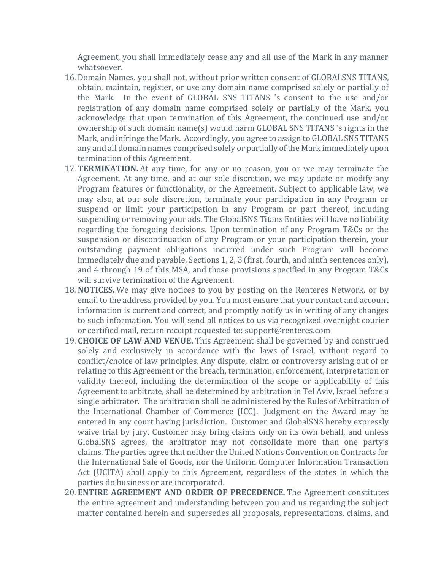Agreement, you shall immediately cease any and all use of the Mark in any manner whatsoever.

- 16. Domain Names. you shall not, without prior written consent of GLOBALSNS TITANS, obtain, maintain, register, or use any domain name comprised solely or partially of the Mark. In the event of GLOBAL SNS TITANS 's consent to the use and/or registration of any domain name comprised solely or partially of the Mark, you acknowledge that upon termination of this Agreement, the continued use and/or ownership of such domain name(s) would harm GLOBAL SNS TITANS 's rights in the Mark, and infringe the Mark. Accordingly, you agree to assign to GLOBAL SNS TITANS any and all domain names comprised solely or partially of the Mark immediately upon termination of this Agreement.
- 17. **TERMINATION.** At any time, for any or no reason, you or we may terminate the Agreement. At any time, and at our sole discretion, we may update or modify any Program features or functionality, or the Agreement. Subject to applicable law, we may also, at our sole discretion, terminate your participation in any Program or suspend or limit your participation in any Program or part thereof, including suspending or removing your ads. The GlobalSNS Titans Entities will have no liability regarding the foregoing decisions. Upon termination of any Program T&Cs or the suspension or discontinuation of any Program or your participation therein, your outstanding payment obligations incurred under such Program will become immediately due and payable. Sections 1, 2, 3 (first, fourth, and ninth sentences only), and 4 through 19 of this MSA, and those provisions specified in any Program T&Cs will survive termination of the Agreement.
- 18. **NOTICES.** We may give notices to you by posting on the Renteres Network, or by email to the address provided by you. You must ensure that your contact and account information is current and correct, and promptly notify us in writing of any changes to such information. You will send all notices to us via recognized overnight courier or certified mail, return receipt requested to: support@renteres.com
- 19. **CHOICE OF LAW AND VENUE.** This Agreement shall be governed by and construed solely and exclusively in accordance with the laws of Israel, without regard to conflict/choice of law principles. Any dispute, claim or controversy arising out of or relating to this Agreement or the breach, termination, enforcement, interpretation or validity thereof, including the determination of the scope or applicability of this Agreement to arbitrate, shall be determined by arbitration in Tel Aviv, Israel before a single arbitrator. The arbitration shall be administered by the Rules of Arbitration of the International Chamber of Commerce (ICC). Judgment on the Award may be entered in any court having jurisdiction. Customer and GlobalSNS hereby expressly waive trial by jury. Customer may bring claims only on its own behalf, and unless GlobalSNS agrees, the arbitrator may not consolidate more than one party's claims. The parties agree that neither the United Nations Convention on Contracts for the International Sale of Goods, nor the Uniform Computer Information Transaction Act (UCITA) shall apply to this Agreement, regardless of the states in which the parties do business or are incorporated.
- 20. **ENTIRE AGREEMENT AND ORDER OF PRECEDENCE.** The Agreement constitutes the entire agreement and understanding between you and us regarding the subject matter contained herein and supersedes all proposals, representations, claims, and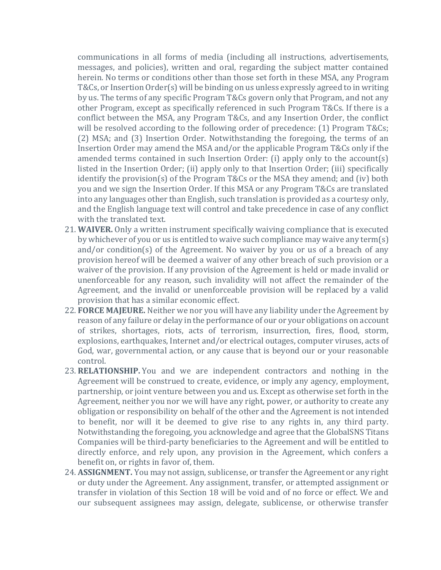communications in all forms of media (including all instructions, advertisements, messages, and policies), written and oral, regarding the subject matter contained herein. No terms or conditions other than those set forth in these MSA, any Program T&Cs, or Insertion Order(s) will be binding on us unless expressly agreed to in writing by us. The terms of any specific Program T&Cs govern only that Program, and not any other Program, except as specifically referenced in such Program T&Cs. If there is a conflict between the MSA, any Program T&Cs, and any Insertion Order, the conflict will be resolved according to the following order of precedence: (1) Program T&Cs; (2) MSA; and (3) Insertion Order. Notwithstanding the foregoing, the terms of an Insertion Order may amend the MSA and/or the applicable Program T&Cs only if the amended terms contained in such Insertion Order: (i) apply only to the account(s) listed in the Insertion Order; (ii) apply only to that Insertion Order; (iii) specifically identify the provision(s) of the Program T&Cs or the MSA they amend; and (iv) both you and we sign the Insertion Order. If this MSA or any Program T&Cs are translated into any languages other than English, such translation is provided as a courtesy only, and the English language text will control and take precedence in case of any conflict with the translated text.

- 21. **WAIVER.** Only a written instrument specifically waiving compliance that is executed by whichever of you or us is entitled to waive such compliance may waive any term(s) and/or condition(s) of the Agreement. No waiver by you or us of a breach of any provision hereof will be deemed a waiver of any other breach of such provision or a waiver of the provision. If any provision of the Agreement is held or made invalid or unenforceable for any reason, such invalidity will not affect the remainder of the Agreement, and the invalid or unenforceable provision will be replaced by a valid provision that has a similar economic effect.
- 22. **FORCE MAJEURE.** Neither we nor you will have any liability under the Agreement by reason of any failure or delay in the performance of our or your obligations on account of strikes, shortages, riots, acts of terrorism, insurrection, fires, flood, storm, explosions, earthquakes, Internet and/or electrical outages, computer viruses, acts of God, war, governmental action, or any cause that is beyond our or your reasonable control.
- 23. **RELATIONSHIP.** You and we are independent contractors and nothing in the Agreement will be construed to create, evidence, or imply any agency, employment, partnership, or joint venture between you and us. Except as otherwise set forth in the Agreement, neither you nor we will have any right, power, or authority to create any obligation or responsibility on behalf of the other and the Agreement is not intended to benefit, nor will it be deemed to give rise to any rights in, any third party. Notwithstanding the foregoing, you acknowledge and agree that the GlobalSNS Titans Companies will be third-party beneficiaries to the Agreement and will be entitled to directly enforce, and rely upon, any provision in the Agreement, which confers a benefit on, or rights in favor of, them.
- 24. **ASSIGNMENT.** You may not assign, sublicense, or transfer the Agreement or any right or duty under the Agreement. Any assignment, transfer, or attempted assignment or transfer in violation of this Section 18 will be void and of no force or effect. We and our subsequent assignees may assign, delegate, sublicense, or otherwise transfer